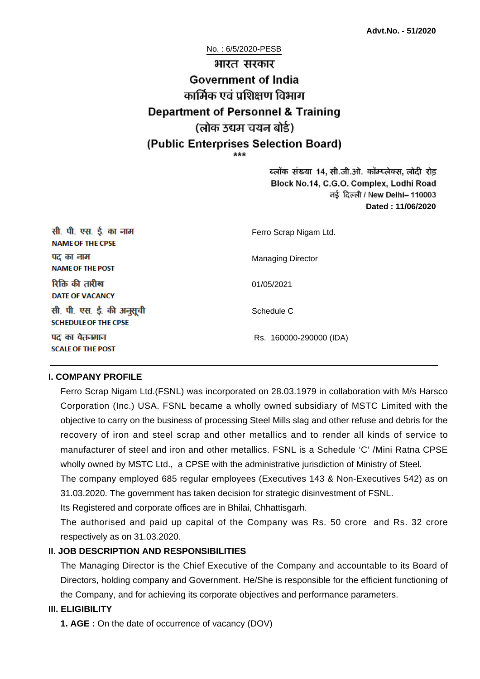No. : 6/5/2020-PESB

# भारत सरकार **Government of India** कार्मिक एवं पशिक्षण विभाग **Department of Personnel & Training** (लोक उद्यम चयन बोर्ड) (Public Enterprises Selection Board)

ब्लॉक संख्या 14, सी.जी.ओ. कॉम्प्लेक्स, लोदी रोड Block No.14, C.G.O. Complex, Lodhi Road ਰई दिल्ली / New Delhi– 110003 **Dated : 11/06/2020**

| सी. पी. एस. ई. का नाम<br><b>NAME OF THE CPSE</b>         | Ferro Scrap Nigam Ltd.   |
|----------------------------------------------------------|--------------------------|
| पद का नाम<br><b>NAME OF THE POST</b>                     | <b>Managing Director</b> |
| रिक्ति की तारीख<br><b>DATE OF VACANCY</b>                | 01/05/2021               |
| सी. पी. एस. ई. की अनुसूची<br><b>SCHEDULE OF THE CPSE</b> | Schedule C               |
| पद का वेतनमान<br><b>SCALE OF THE POST</b>                | Rs. 160000-290000 (IDA)  |

#### **I. COMPANY PROFILE**

Ferro Scrap Nigam Ltd.(FSNL) was incorporated on 28.03.1979 in collaboration with M/s Harsco Corporation (Inc.) USA. FSNL became a wholly owned subsidiary of MSTC Limited with the objective to carry on the business of processing Steel Mills slag and other refuse and debris for the recovery of iron and steel scrap and other metallics and to render all kinds of service to manufacturer of steel and iron and other metallics. FSNL is a Schedule 'C' /Mini Ratna CPSE wholly owned by MSTC Ltd., a CPSE with the administrative jurisdiction of Ministry of Steel.

The company employed 685 regular employees (Executives 143 & Non-Executives 542) as on 31.03.2020. The government has taken decision for strategic disinvestment of FSNL.

Its Registered and corporate offices are in Bhilai, Chhattisgarh.

The authorised and paid up capital of the Company was Rs. 50 crore and Rs. 32 crore respectively as on 31.03.2020.

#### **II. JOB DESCRIPTION AND RESPONSIBILITIES**

The Managing Director is the Chief Executive of the Company and accountable to its Board of Directors, holding company and Government. He/She is responsible for the efficient functioning of the Company, and for achieving its corporate objectives and performance parameters.

### **III. ELIGIBILITY**

**1. AGE :** On the date of occurrence of vacancy (DOV)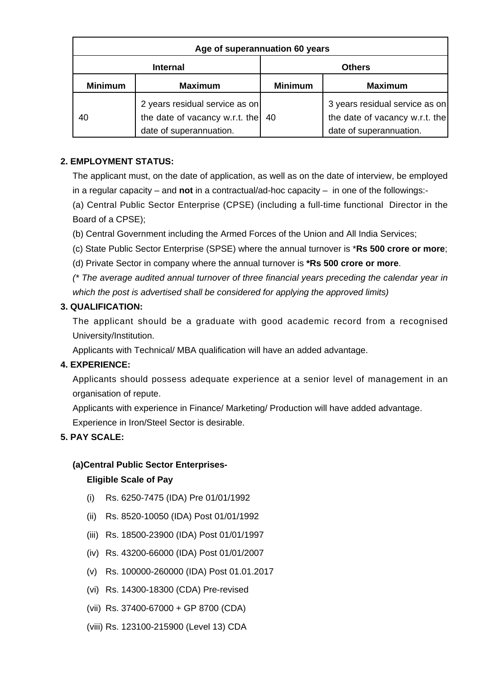| Age of superannuation 60 years |                                                                                             |                |                                                                                             |
|--------------------------------|---------------------------------------------------------------------------------------------|----------------|---------------------------------------------------------------------------------------------|
| <b>Internal</b>                |                                                                                             | <b>Others</b>  |                                                                                             |
| <b>Minimum</b>                 | <b>Maximum</b>                                                                              | <b>Minimum</b> | <b>Maximum</b>                                                                              |
| 40                             | 2 years residual service as on<br>the date of vacancy w.r.t. the<br>date of superannuation. | 40             | 3 years residual service as on<br>the date of vacancy w.r.t. the<br>date of superannuation. |

# **2. EMPLOYMENT STATUS:**

The applicant must, on the date of application, as well as on the date of interview, be employed in a regular capacity – and **not** in a contractual/ad-hoc capacity – in one of the followings:-

(a) Central Public Sector Enterprise (CPSE) (including a full-time functional Director in the Board of a CPSE);

(b) Central Government including the Armed Forces of the Union and All India Services;

(c) State Public Sector Enterprise (SPSE) where the annual turnover is \***Rs 500 crore or more**;

(d) Private Sector in company where the annual turnover is **\*Rs 500 crore or more**.

(\* The average audited annual turnover of three financial years preceding the calendar year in which the post is advertised shall be considered for applying the approved limits)

### **3. QUALIFICATION:**

The applicant should be a graduate with good academic record from a recognised University/Institution.

Applicants with Technical/ MBA qualification will have an added advantage.

### **4. EXPERIENCE:**

Applicants should possess adequate experience at a senior level of management in an organisation of repute.

Applicants with experience in Finance/ Marketing/ Production will have added advantage.

Experience in Iron/Steel Sector is desirable.

# **5. PAY SCALE:**

### **(a)Central Public Sector Enterprises-**

#### **Eligible Scale of Pay**

- (i) Rs. 6250-7475 (IDA) Pre 01/01/1992
- (ii) Rs. 8520-10050 (IDA) Post 01/01/1992
- (iii) Rs. 18500-23900 (IDA) Post 01/01/1997
- (iv) Rs. 43200-66000 (IDA) Post 01/01/2007
- (v) Rs. 100000-260000 (IDA) Post 01.01.2017
- (vi) Rs. 14300-18300 (CDA) Pre-revised
- (vii) Rs. 37400-67000 + GP 8700 (CDA)
- (viii) Rs. 123100-215900 (Level 13) CDA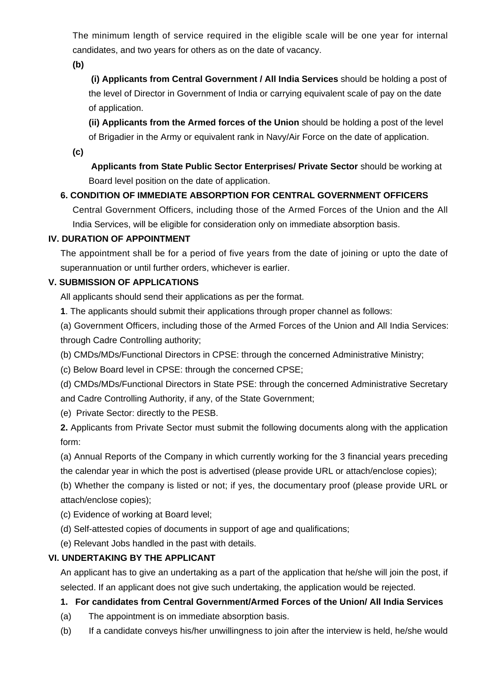The minimum length of service required in the eligible scale will be one year for internal candidates, and two years for others as on the date of vacancy.

**(b)**

**(i) Applicants from Central Government / All India Services** should be holding a post of the level of Director in Government of India or carrying equivalent scale of pay on the date of application.

**(ii) Applicants from the Armed forces of the Union** should be holding a post of the level of Brigadier in the Army or equivalent rank in Navy/Air Force on the date of application.

**(c)**

 **Applicants from State Public Sector Enterprises/ Private Sector** should be working at Board level position on the date of application.

# **6. CONDITION OF IMMEDIATE ABSORPTION FOR CENTRAL GOVERNMENT OFFICERS**

Central Government Officers, including those of the Armed Forces of the Union and the All India Services, will be eligible for consideration only on immediate absorption basis.

# **IV. DURATION OF APPOINTMENT**

The appointment shall be for a period of five years from the date of joining or upto the date of superannuation or until further orders, whichever is earlier.

# **V. SUBMISSION OF APPLICATIONS**

All applicants should send their applications as per the format.

**1**. The applicants should submit their applications through proper channel as follows:

(a) Government Officers, including those of the Armed Forces of the Union and All India Services: through Cadre Controlling authority;

(b) CMDs/MDs/Functional Directors in CPSE: through the concerned Administrative Ministry;

(c) Below Board level in CPSE: through the concerned CPSE;

(d) CMDs/MDs/Functional Directors in State PSE: through the concerned Administrative Secretary and Cadre Controlling Authority, if any, of the State Government;

(e) Private Sector: directly to the PESB.

**2.** Applicants from Private Sector must submit the following documents along with the application form:

(a) Annual Reports of the Company in which currently working for the 3 financial years preceding the calendar year in which the post is advertised (please provide URL or attach/enclose copies);

(b) Whether the company is listed or not; if yes, the documentary proof (please provide URL or attach/enclose copies);

(c) Evidence of working at Board level;

(d) Self-attested copies of documents in support of age and qualifications;

(e) Relevant Jobs handled in the past with details.

# **VI. UNDERTAKING BY THE APPLICANT**

An applicant has to give an undertaking as a part of the application that he/she will join the post, if selected. If an applicant does not give such undertaking, the application would be rejected.

# **1. For candidates from Central Government/Armed Forces of the Union/ All India Services**

- (a) The appointment is on immediate absorption basis.
- (b) If a candidate conveys his/her unwillingness to join after the interview is held, he/she would